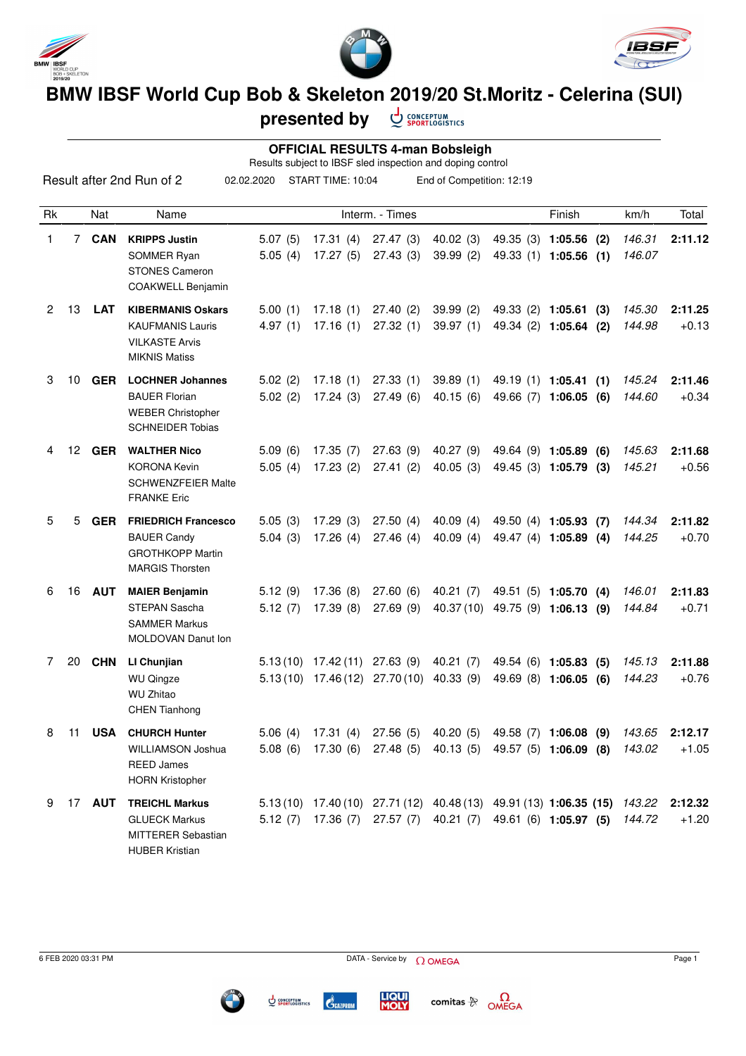





## **BMW IBSF World Cup Bob & Skeleton 2019/20 St.Moritz - Celerina (SUI)**

CONCEPTUM<br>SPORTLOGISTICS **presented by**

 **OFFICIAL RESULTS 4-man Bobsleigh** Results subject to IBSF sled inspection and doping control

|                      |             |               | Result after 2nd Run of 2                                                                              | 02.02.2020         | START TIME: 10:04                                                                                                                    |                                                                                                            | End of Competition: 12:19 |                                                          |                  |                    |
|----------------------|-------------|---------------|--------------------------------------------------------------------------------------------------------|--------------------|--------------------------------------------------------------------------------------------------------------------------------------|------------------------------------------------------------------------------------------------------------|---------------------------|----------------------------------------------------------|------------------|--------------------|
| Rk                   |             | Nat           | Name                                                                                                   |                    |                                                                                                                                      | Interm. - Times                                                                                            |                           | Finish                                                   | km/h             | Total              |
| 1                    | $7^{\circ}$ | <b>CAN</b>    | <b>KRIPPS Justin</b><br>SOMMER Ryan<br><b>STONES Cameron</b><br>COAKWELL Benjamin                      | 5.07(5)<br>5.05(4) | 17.31(4)<br>17.27(5)                                                                                                                 | 27.47 (3)<br>27.43(3)                                                                                      | 40.02 (3)<br>39.99(2)     | 49.35 (3) 1:05.56 (2)<br>49.33 (1) 1:05.56 (1)           | 146.31<br>146.07 | 2:11.12            |
| $\mathbf{2}^{\circ}$ | 13          | <b>LAT</b>    | <b>KIBERMANIS Oskars</b><br><b>KAUFMANIS Lauris</b><br><b>VILKASTE Arvis</b><br><b>MIKNIS Matiss</b>   | 5.00(1)<br>4.97(1) | 17.18(1)<br>17.16(1)                                                                                                                 | 27.40(2)<br>27.32(1)                                                                                       | 39.99(2)<br>39.97(1)      | 49.33 (2) 1:05.61 (3)<br>49.34 (2) 1:05.64 (2)           | 145.30<br>144.98 | 2:11.25<br>$+0.13$ |
| 3                    | 10          | <b>GER</b>    | <b>LOCHNER Johannes</b><br><b>BAUER Florian</b><br><b>WEBER Christopher</b><br><b>SCHNEIDER Tobias</b> | 5.02(2)<br>5.02(2) | 17.18(1)<br>17.24(3)                                                                                                                 | 27.33(1)<br>27.49(6)                                                                                       | 39.89(1)<br>40.15(6)      | 49.19 (1) 1:05.41 (1)<br>49.66 (7) 1:06.05 (6)           | 145.24<br>144.60 | 2:11.46<br>$+0.34$ |
| 4                    |             | 12 GER        | <b>WALTHER Nico</b><br><b>KORONA Kevin</b><br><b>SCHWENZFEIER Malte</b><br><b>FRANKE Eric</b>          | 5.09(6)<br>5.05(4) | 17.35(7)<br>17.23(2)                                                                                                                 | 27.63(9)<br>27.41(2)                                                                                       | 40.27 (9)<br>40.05(3)     | 49.64 (9) 1:05.89 (6)<br>49.45 (3) 1:05.79 (3)           | 145.63<br>145.21 | 2:11.68<br>$+0.56$ |
| 5                    | 5           | <b>GER</b>    | <b>FRIEDRICH Francesco</b><br><b>BAUER Candy</b><br><b>GROTHKOPP Martin</b><br><b>MARGIS Thorsten</b>  | 5.05(3)<br>5.04(3) | 17.29(3)<br>17.26(4)                                                                                                                 | 27.50(4)<br>27.46(4)                                                                                       | 40.09(4)<br>40.09(4)      | 49.50 (4) 1:05.93 (7)<br>49.47 (4) 1:05.89 (4)           | 144.34<br>144.25 | 2:11.82<br>$+0.70$ |
| 6                    | 16          | <b>AUT</b>    | <b>MAIER Benjamin</b><br>STEPAN Sascha<br><b>SAMMER Markus</b><br>MOLDOVAN Danut Ion                   | 5.12(9)<br>5.12(7) | 17.36(8)<br>17.39(8)                                                                                                                 | 27.60(6)<br>27.69(9)                                                                                       | 40.21 (7)                 | 49.51 (5) 1:05.70 (4)<br>40.37(10) 49.75 (9) 1:06.13 (9) | 146.01<br>144.84 | 2:11.83<br>$+0.71$ |
| 7                    | 20          | <b>CHN</b>    | LI Chunjian<br><b>WU Qingze</b><br><b>WU Zhitao</b><br><b>CHEN Tianhong</b>                            |                    | $5.13(10)$ $17.42(11)$ $27.63(9)$<br>$5.13(10)$ 17.46 (12) 27.70 (10)                                                                |                                                                                                            | 40.21 (7)<br>40.33(9)     | 49.54 (6) 1:05.83 (5)<br>49.69 (8) 1:06.05 (6)           | 145.13<br>144.23 | 2:11.88<br>$+0.76$ |
| 8                    | 11          | USA           | <b>CHURCH Hunter</b><br>WILLIAMSON Joshua<br><b>REED James</b><br><b>HORN Kristopher</b>               | 5.06(4)<br>5.08(6) |                                                                                                                                      | 17.31 (4) 27.56 (5) 40.20 (5) 49.58 (7) 1:06.08 (9)<br>17.30 (6) 27.48 (5) 40.13 (5) 49.57 (5) 1:06.09 (8) |                           |                                                          | 143.65<br>143.02 | 2:12.17<br>$+1.05$ |
| 9                    |             | 17 <b>AUT</b> | <b>TREICHL Markus</b><br><b>GLUECK Markus</b><br><b>MITTERER Sebastian</b><br><b>HUBER Kristian</b>    |                    | 5.13(10) 17.40(10) 27.71(12) 40.48(13) 49.91(13) 1:06.35 (15) 143.22<br>5.12 (7) 17.36 (7) 27.57 (7) 40.21 (7) 49.61 (6) 1:05.97 (5) |                                                                                                            |                           |                                                          | 144.72           | 2:12.32<br>$+1.20$ |





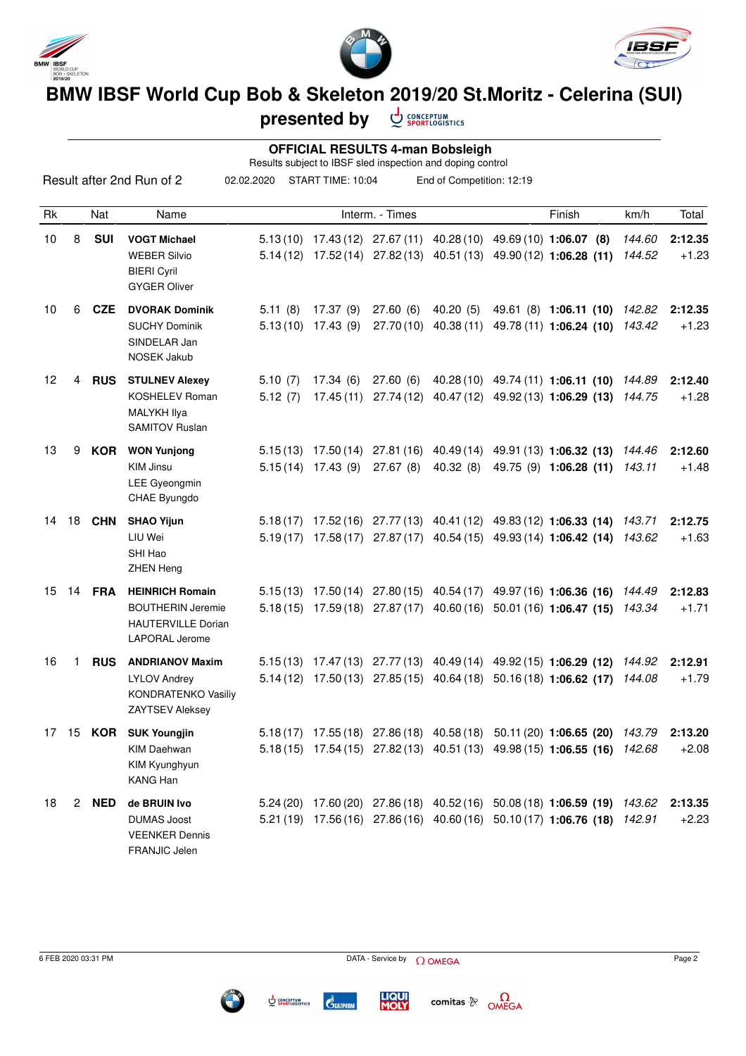





## **BMW IBSF World Cup Bob & Skeleton 2019/20 St.Moritz - Celerina (SUI)**

**presented by** CONCEPTUM<br>SPORTLOGISTICS

 **OFFICIAL RESULTS 4-man Bobsleigh**

|           |                            | Result after 2nd Run of 2 | 02.02.2020 | START TIME: 10:04 |                 | End of Competition: 12:19                                                                     |        |      |       |
|-----------|----------------------------|---------------------------|------------|-------------------|-----------------|-----------------------------------------------------------------------------------------------|--------|------|-------|
| Rk        | Nat                        | Name                      |            |                   | Interm. - Times |                                                                                               | Finish | km/h | Total |
| $10^{-1}$ | - 0111<br>$\mathbf \sigma$ | <b>MOOT Makes</b>         |            |                   |                 | $E 19(10)$ $17.49(10)$ $27.67(11)$ $40.99(10)$ $40.60(10)$ $1.06.07$ $(0)$ $1.44.60$ $2.42.2$ |        |      |       |

| 10              | 8                    | <b>SUI</b>       | <b>VOGT Michael</b><br><b>WEBER Silvio</b><br><b>BIERI Cyril</b><br><b>GYGER Oliver</b>                  |                    |                                  |           |          | $5.13(10)$ $17.43(12)$ $27.67(11)$ $40.28(10)$ $49.69(10)$ $1:06.07(8)$<br>5.14 (12) 17.52 (14) 27.82 (13) 40.51 (13) 49.90 (12) 1:06.28 (11)    | 144.60<br>144.52 | 2:12.35<br>$+1.23$ |
|-----------------|----------------------|------------------|----------------------------------------------------------------------------------------------------------|--------------------|----------------------------------|-----------|----------|--------------------------------------------------------------------------------------------------------------------------------------------------|------------------|--------------------|
| 10              | 6                    | CZE              | <b>DVORAK Dominik</b><br><b>SUCHY Dominik</b><br>SINDELAR Jan<br><b>NOSEK Jakub</b>                      | 5.11(8)            | 17.37(9)<br>$5.13(10)$ 17.43 (9) | 27.60(6)  | 40.20(5) | 49.61 (8) 1:06.11 (10) 142.82<br>27.70 (10) 40.38 (11) 49.78 (11) 1:06.24 (10) 143.42                                                            |                  | 2:12.35<br>$+1.23$ |
| 12              | 4                    | <b>RUS</b>       | <b>STULNEV Alexey</b><br>KOSHELEV Roman<br><b>MALYKH Ilya</b><br><b>SAMITOV Ruslan</b>                   | 5.10(7)<br>5.12(7) | 17.34 (6)<br>17.45 (11)          | 27.60 (6) |          | 40.28 (10) 49.74 (11) 1:06.11 (10) 144.89<br>27.74 (12) 40.47 (12) 49.92 (13) 1:06.29 (13)                                                       | 144.75           | 2:12.40<br>$+1.28$ |
| 13              | 9                    | KOR              | <b>WON Yunjong</b><br><b>KIM Jinsu</b><br>LEE Gyeongmin<br>CHAE Byungdo                                  |                    | $5.15(14)$ 17.43 (9)             | 27.67(8)  | 40.32(8) | $5.15(13)$ $17.50(14)$ $27.81(16)$ $40.49(14)$ $49.91(13)$ $1:06.32(13)$<br>49.75 (9) 1:06.28 (11)                                               | 144.46<br>143.11 | 2:12.60<br>+1.48   |
| 14              |                      | 18 CHN           | <b>SHAO Yijun</b><br>LIU Wei<br>SHI Hao<br>ZHEN Heng                                                     |                    |                                  |           |          | 5.18 (17) 17.52 (16) 27.77 (13) 40.41 (12) 49.83 (12) 1:06.33 (14)<br>5.19(17) 17.58(17) 27.87(17) 40.54(15) 49.93(14) 1:06.42(14)               | 143.71<br>143.62 | 2:12.75<br>$+1.63$ |
|                 |                      | 15 14 <b>FRA</b> | <b>HEINRICH Romain</b><br><b>BOUTHERIN Jeremie</b><br><b>HAUTERVILLE Dorian</b><br><b>LAPORAL Jerome</b> |                    |                                  |           |          | $5.15(13)$ $17.50(14)$ $27.80(15)$ $40.54(17)$ $49.97(16)$ $1:06.36(16)$<br>5.18(15) 17.59(18) 27.87(17) 40.60(16) 50.01(16) 1:06.47 (15) 143.34 | 144.49           | 2:12.83<br>$+1.71$ |
| 16              | 1.                   | <b>RUS</b>       | <b>ANDRIANOV Maxim</b><br><b>LYLOV Andrey</b><br><b>KONDRATENKO Vasiliy</b><br>ZAYTSEV Aleksey           |                    |                                  |           |          | 5.15 (13) 17.47 (13) 27.77 (13) 40.49 (14) 49.92 (15) 1:06.29 (12)<br>5.14 (12) 17.50 (13) 27.85 (15) 40.64 (18) 50.16 (18) 1:06.62 (17)         | 144.92<br>144.08 | 2:12.91<br>$+1.79$ |
| 17 <sup>7</sup> |                      | 15 KOR           | <b>SUK Youngjin</b><br><b>KIM Daehwan</b><br>KIM Kyunghyun<br>KANG Han                                   |                    |                                  |           |          | 5.18 (17) 17.55 (18) 27.86 (18) 40.58 (18) 50.11 (20) 1:06.65 (20)<br>5.18(15) 17.54(15) 27.82(13) 40.51(13) 49.98(15) 1:06.55 (16) 142.68       | 143.79           | 2:13.20<br>$+2.08$ |
| 18              | $\mathbf{2}^{\circ}$ | <b>NED</b>       | de BRUIN Ivo<br><b>DUMAS Joost</b><br><b>VEENKER Dennis</b><br>FRANJIC Jelen                             | 5.24(20)           |                                  |           |          | 17.60 (20) 27.86 (18) 40.52 (16) 50.08 (18) 1:06.59 (19)<br>5.21 (19) 17.56 (16) 27.86 (16) 40.60 (16) 50.10 (17) 1:06.76 (18)                   | 143.62<br>142.91 | 2:13.35<br>$+2.23$ |